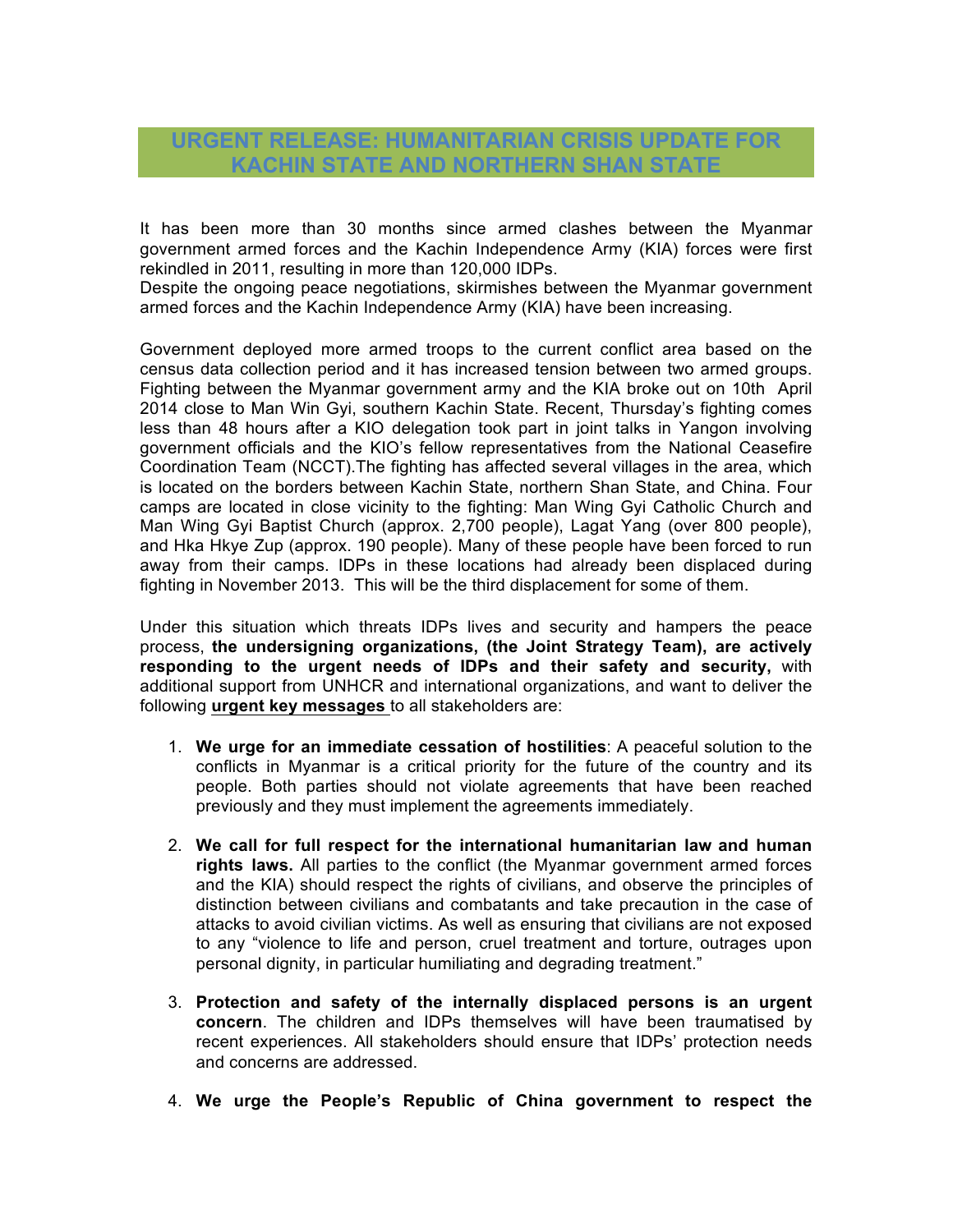## **URGENT RELEASE: HUMANITARIAN CRISIS UPDATE FOR KACHIN STATE AND NORTHERN SHAN STATE**

It has been more than 30 months since armed clashes between the Myanmar government armed forces and the Kachin Independence Army (KIA) forces were first rekindled in 2011, resulting in more than 120,000 IDPs.

Despite the ongoing peace negotiations, skirmishes between the Myanmar government armed forces and the Kachin Independence Army (KIA) have been increasing.

Government deployed more armed troops to the current conflict area based on the census data collection period and it has increased tension between two armed groups. Fighting between the Myanmar government army and the KIA broke out on 10th April 2014 close to Man Win Gyi, southern Kachin State. Recent, Thursday's fighting comes less than 48 hours after a KIO delegation took part in joint talks in Yangon involving government officials and the KIO's fellow representatives from the National Ceasefire Coordination Team (NCCT).The fighting has affected several villages in the area, which is located on the borders between Kachin State, northern Shan State, and China. Four camps are located in close vicinity to the fighting: Man Wing Gyi Catholic Church and Man Wing Gyi Baptist Church (approx. 2,700 people), Lagat Yang (over 800 people), and Hka Hkye Zup (approx. 190 people). Many of these people have been forced to run away from their camps. IDPs in these locations had already been displaced during fighting in November 2013. This will be the third displacement for some of them.

Under this situation which threats IDPs lives and security and hampers the peace process, **the undersigning organizations, (the Joint Strategy Team), are actively responding to the urgent needs of IDPs and their safety and security,** with additional support from UNHCR and international organizations, and want to deliver the following **urgent key messages** to all stakeholders are:

- 1. **We urge for an immediate cessation of hostilities**: A peaceful solution to the conflicts in Myanmar is a critical priority for the future of the country and its people. Both parties should not violate agreements that have been reached previously and they must implement the agreements immediately.
- 2. **We call for full respect for the international humanitarian law and human rights laws.** All parties to the conflict (the Myanmar government armed forces and the KIA) should respect the rights of civilians, and observe the principles of distinction between civilians and combatants and take precaution in the case of attacks to avoid civilian victims. As well as ensuring that civilians are not exposed to any "violence to life and person, cruel treatment and torture, outrages upon personal dignity, in particular humiliating and degrading treatment."
- 3. **Protection and safety of the internally displaced persons is an urgent concern**. The children and IDPs themselves will have been traumatised by recent experiences. All stakeholders should ensure that IDPs' protection needs and concerns are addressed.
- 4. **We urge the People's Republic of China government to respect the**